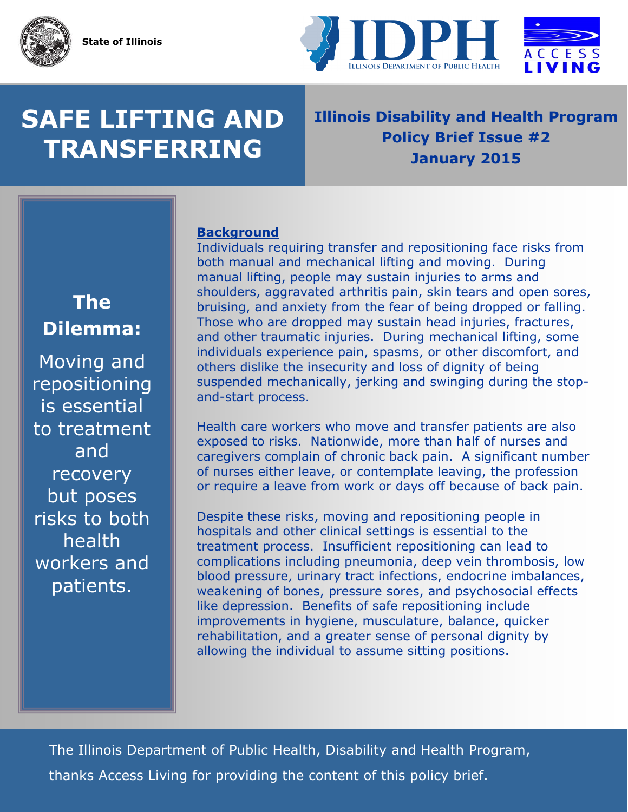

# **SAFE LIFTING AND TRANSFERRING**

### **Illinois Disability and Health Program Policy Brief Issue #2 January 2015**

**Background** 

Individuals requiring transfer and repositioning face risks from both manual and mechanical lifting and moving. During manual lifting, people may sustain injuries to arms and shoulders, aggravated arthritis pain, skin tears and open sores, bruising, and anxiety from the fear of being dropped or falling. Those who are dropped may sustain head injuries, fractures, and other traumatic injuries. During mechanical lifting, some individuals experience pain, spasms, or other discomfort, and others dislike the insecurity and loss of dignity of being suspended mechanically, jerking and swinging during the stopand-start process.

Health care workers who move and transfer patients are also exposed to risks. Nationwide, more than half of nurses and caregivers complain of chronic back pain. A significant number of nurses either leave, or contemplate leaving, the profession or require a leave from work or days off because of back pain.

Despite these risks, moving and repositioning people in hospitals and other clinical settings is essential to the treatment process. Insufficient repositioning can lead to complications including pneumonia, deep vein thrombosis, low blood pressure, urinary tract infections, endocrine imbalances, weakening of bones, pressure sores, and psychosocial effects like depression. Benefits of safe repositioning include improvements in hygiene, musculature, balance, quicker rehabilitation, and a greater sense of personal dignity by allowing the individual to assume sitting positions.

The Illinois Department of Public Health, Disability and Health Program, thanks Access Living for providing the content of this policy brief.

## **The Dilemma:**

Moving and repositioning is essential to treatment and recovery but poses risks to both health workers and patients.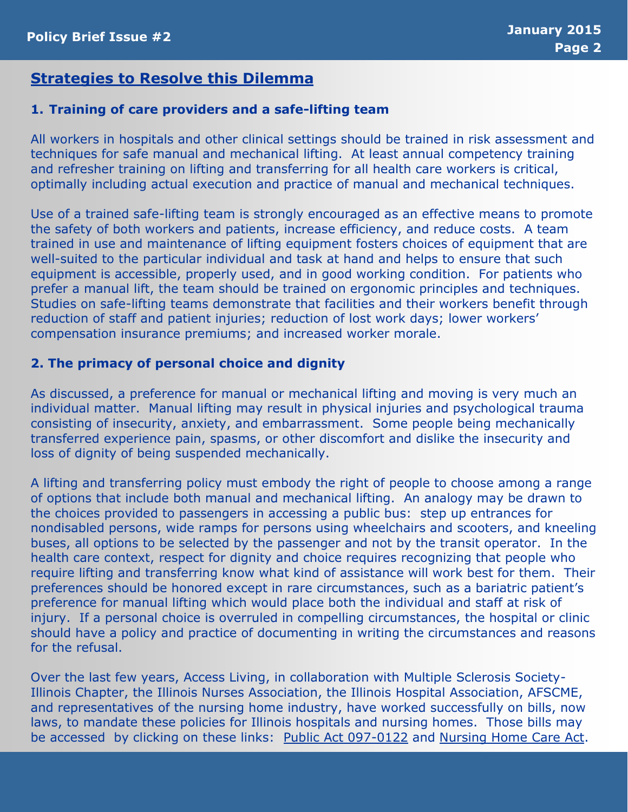#### **Strategies to Resolve this Dilemma**

#### **1. Training of care providers and a safe-lifting team**

All workers in hospitals and other clinical settings should be trained in risk assessment and techniques for safe manual and mechanical lifting. At least annual competency training and refresher training on lifting and transferring for all health care workers is critical, optimally including actual execution and practice of manual and mechanical techniques.

Use of a trained safe-lifting team is strongly encouraged as an effective means to promote the safety of both workers and patients, increase efficiency, and reduce costs. A team trained in use and maintenance of lifting equipment fosters choices of equipment that are well-suited to the particular individual and task at hand and helps to ensure that such equipment is accessible, properly used, and in good working condition. For patients who prefer a manual lift, the team should be trained on ergonomic principles and techniques. Studies on safe-lifting teams demonstrate that facilities and their workers benefit through reduction of staff and patient injuries; reduction of lost work days; lower workers' compensation insurance premiums; and increased worker morale.

#### **2. The primacy of personal choice and dignity**

As discussed, a preference for manual or mechanical lifting and moving is very much an individual matter. Manual lifting may result in physical injuries and psychological trauma consisting of insecurity, anxiety, and embarrassment. Some people being mechanically transferred experience pain, spasms, or other discomfort and dislike the insecurity and loss of dignity of being suspended mechanically.

A lifting and transferring policy must embody the right of people to choose among a range of options that include both manual and mechanical lifting. An analogy may be drawn to the choices provided to passengers in accessing a public bus: step up entrances for nondisabled persons, wide ramps for persons using wheelchairs and scooters, and kneeling buses, all options to be selected by the passenger and not by the transit operator. In the health care context, respect for dignity and choice requires recognizing that people who require lifting and transferring know what kind of assistance will work best for them. Their preferences should be honored except in rare circumstances, such as a bariatric patient's preference for manual lifting which would place both the individual and staff at risk of injury. If a personal choice is overruled in compelling circumstances, the hospital or clinic should have a policy and practice of documenting in writing the circumstances and reasons for the refusal.

Over the last few years, Access Living, in collaboration with Multiple Sclerosis Society-Illinois Chapter, the Illinois Nurses Association, the Illinois Hospital Association, AFSCME, and representatives of the nursing home industry, have worked successfully on bills, now laws, to mandate these policies for Illinois hospitals and nursing homes. Those bills may be accessed by clicking on these links: [Public Act 097-0122](http://www.ilga.gov/legislation/publicacts/fulltext.asp?Name=097-0122) and [Nursing Home Care Act.](http://ilga.gov/legislation/fulltext.asp?DocName=09700SB0680enr&GA=97&SessionId=84&DocTypeId=SB&LegID=55509&DocNum=680&GAID=11&Session=&print=true)